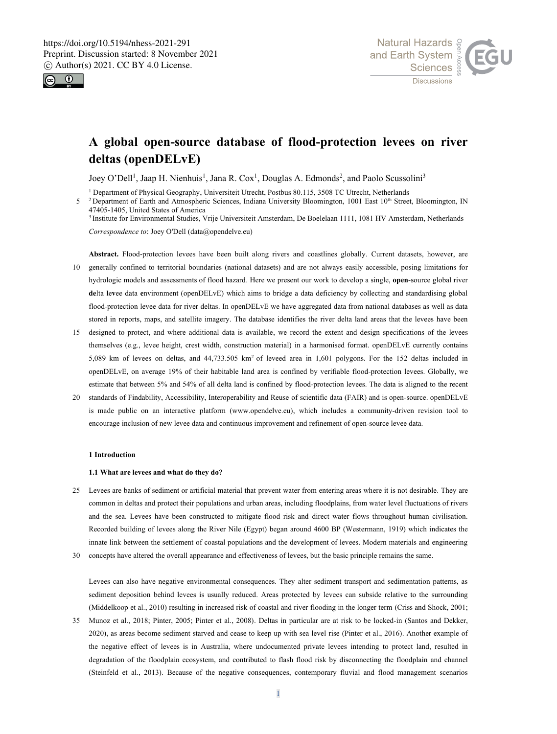



# **A global open-source database of flood-protection levees on river deltas (openDELvE)**

Joey O'Dell<sup>1</sup>, Jaap H. Nienhuis<sup>1</sup>, Jana R. Cox<sup>1</sup>, Douglas A. Edmonds<sup>2</sup>, and Paolo Scussolini<sup>3</sup>

<sup>1</sup> Department of Physical Geography, Universiteit Utrecht, Postbus 80.115, 3508 TC Utrecht, Netherlands

<sup>2</sup> Department of Earth and Atmospheric Sciences, Indiana University Bloomington, 1001 East 10<sup>th</sup> Street, Bloomington, IN 47405-1405, United States of America

<sup>3</sup> Institute for Environmental Studies, Vrije Universiteit Amsterdam, De Boelelaan 1111, 1081 HV Amsterdam, Netherlands

*Correspondence to*: Joey O'Dell (data@opendelve.eu)

- **Abstract.** Flood-protection levees have been built along rivers and coastlines globally. Current datasets, however, are 10 generally confined to territorial boundaries (national datasets) and are not always easily accessible, posing limitations for hydrologic models and assessments of flood hazard. Here we present our work to develop a single, **open**-source global river **de**lta **l**e**v**ee data **e**nvironment (openDELvE) which aims to bridge a data deficiency by collecting and standardising global flood-protection levee data for river deltas. In openDELvE we have aggregated data from national databases as well as data stored in reports, maps, and satellite imagery. The database identifies the river delta land areas that the levees have been
- 15 designed to protect, and where additional data is available, we record the extent and design specifications of the levees themselves (e.g., levee height, crest width, construction material) in a harmonised format. openDELvE currently contains 5,089 km of levees on deltas, and  $44,733.505$  km<sup>2</sup> of leveed area in 1,601 polygons. For the 152 deltas included in openDELvE, on average 19% of their habitable land area is confined by verifiable flood-protection levees. Globally, we estimate that between 5% and 54% of all delta land is confined by flood-protection levees. The data is aligned to the recent
- 20 standards of Findability, Accessibility, Interoperability and Reuse of scientific data (FAIR) and is open-source. openDELvE is made public on an interactive platform (www.opendelve.eu), which includes a community-driven revision tool to encourage inclusion of new levee data and continuous improvement and refinement of open-source levee data.

### **1 Introduction**

### **1.1 What are levees and what do they do?**

- 25 Levees are banks of sediment or artificial material that prevent water from entering areas where it is not desirable. They are common in deltas and protect their populations and urban areas, including floodplains, from water level fluctuations of rivers and the sea. Levees have been constructed to mitigate flood risk and direct water flows throughout human civilisation. Recorded building of levees along the River Nile (Egypt) began around 4600 BP (Westermann, 1919) which indicates the innate link between the settlement of coastal populations and the development of levees. Modern materials and engineering
- 30 concepts have altered the overall appearance and effectiveness of levees, but the basic principle remains the same.

Levees can also have negative environmental consequences. They alter sediment transport and sedimentation patterns, as sediment deposition behind levees is usually reduced. Areas protected by levees can subside relative to the surrounding (Middelkoop et al., 2010) resulting in increased risk of coastal and river flooding in the longer term (Criss and Shock, 2001;

35 Munoz et al., 2018; Pinter, 2005; Pinter et al., 2008). Deltas in particular are at risk to be locked-in (Santos and Dekker, 2020), as areas become sediment starved and cease to keep up with sea level rise (Pinter et al., 2016). Another example of the negative effect of levees is in Australia, where undocumented private levees intending to protect land, resulted in degradation of the floodplain ecosystem, and contributed to flash flood risk by disconnecting the floodplain and channel (Steinfeld et al., 2013). Because of the negative consequences, contemporary fluvial and flood management scenarios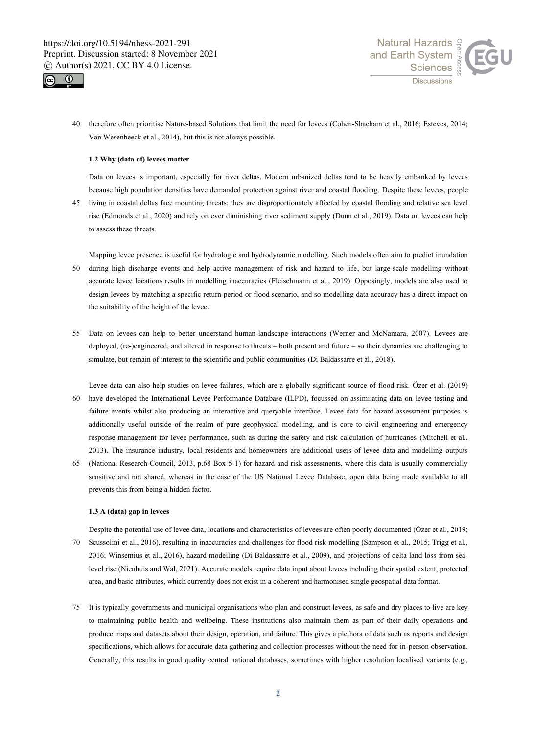



40 therefore often prioritise Nature-based Solutions that limit the need for levees (Cohen-Shacham et al., 2016; Esteves, 2014; Van Wesenbeeck et al., 2014), but this is not always possible.

# **1.2 Why (data of) levees matter**

Data on levees is important, especially for river deltas. Modern urbanized deltas tend to be heavily embanked by levees because high population densities have demanded protection against river and coastal flooding. Despite these levees, people

45 living in coastal deltas face mounting threats; they are disproportionately affected by coastal flooding and relative sea level rise (Edmonds et al., 2020) and rely on ever diminishing river sediment supply (Dunn et al., 2019). Data on levees can help to assess these threats.

Mapping levee presence is useful for hydrologic and hydrodynamic modelling. Such models often aim to predict inundation 50 during high discharge events and help active management of risk and hazard to life, but large-scale modelling without accurate levee locations results in modelling inaccuracies (Fleischmann et al., 2019). Opposingly, models are also used to design levees by matching a specific return period or flood scenario, and so modelling data accuracy has a direct impact on the suitability of the height of the levee.

55 Data on levees can help to better understand human-landscape interactions (Werner and McNamara, 2007). Levees are deployed, (re-)engineered, and altered in response to threats – both present and future – so their dynamics are challenging to simulate, but remain of interest to the scientific and public communities (Di Baldassarre et al., 2018).

Levee data can also help studies on levee failures, which are a globally significant source of flood risk. Özer et al. (2019) 60 have developed the International Levee Performance Database (ILPD), focussed on assimilating data on levee testing and failure events whilst also producing an interactive and queryable interface. Levee data for hazard assessment purposes is additionally useful outside of the realm of pure geophysical modelling, and is core to civil engineering and emergency response management for levee performance, such as during the safety and risk calculation of hurricanes (Mitchell et al., 2013). The insurance industry, local residents and homeowners are additional users of levee data and modelling outputs

65 (National Research Council, 2013, p.68 Box 5-1) for hazard and risk assessments, where this data is usually commercially sensitive and not shared, whereas in the case of the US National Levee Database, open data being made available to all prevents this from being a hidden factor.

### **1.3 A (data) gap in levees**

Despite the potential use of levee data, locations and characteristics of levees are often poorly documented (Özer et al., 2019; 70 Scussolini et al., 2016), resulting in inaccuracies and challenges for flood risk modelling (Sampson et al., 2015; Trigg et al., 2016; Winsemius et al., 2016), hazard modelling (Di Baldassarre et al., 2009), and projections of delta land loss from sealevel rise (Nienhuis and Wal, 2021). Accurate models require data input about levees including their spatial extent, protected area, and basic attributes, which currently does not exist in a coherent and harmonised single geospatial data format.

75 It is typically governments and municipal organisations who plan and construct levees, as safe and dry places to live are key to maintaining public health and wellbeing. These institutions also maintain them as part of their daily operations and produce maps and datasets about their design, operation, and failure. This gives a plethora of data such as reports and design specifications, which allows for accurate data gathering and collection processes without the need for in-person observation. Generally, this results in good quality central national databases, sometimes with higher resolution localised variants (e.g.,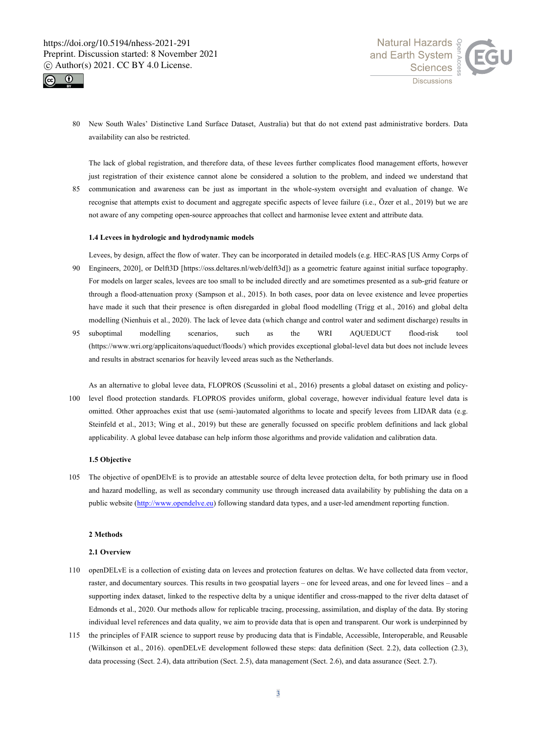



80 New South Wales' Distinctive Land Surface Dataset, Australia) but that do not extend past administrative borders. Data availability can also be restricted.

The lack of global registration, and therefore data, of these levees further complicates flood management efforts, however just registration of their existence cannot alone be considered a solution to the problem, and indeed we understand that

85 communication and awareness can be just as important in the whole-system oversight and evaluation of change. We recognise that attempts exist to document and aggregate specific aspects of levee failure (i.e., Özer et al., 2019) but we are not aware of any competing open-source approaches that collect and harmonise levee extent and attribute data.

# **1.4 Levees in hydrologic and hydrodynamic models**

Levees, by design, affect the flow of water. They can be incorporated in detailed models (e.g. HEC-RAS [US Army Corps of

- 90 Engineers, 2020], or Delft3D [https://oss.deltares.nl/web/delft3d]) as a geometric feature against initial surface topography. For models on larger scales, levees are too small to be included directly and are sometimes presented as a sub-grid feature or through a flood-attenuation proxy (Sampson et al., 2015). In both cases, poor data on levee existence and levee properties have made it such that their presence is often disregarded in global flood modelling (Trigg et al., 2016) and global delta modelling (Nienhuis et al., 2020). The lack of levee data (which change and control water and sediment discharge) results in
- 95 suboptimal modelling scenarios, such as the WRI AQUEDUCT flood-risk tool (https://www.wri.org/applicaitons/aqueduct/floods/) which provides exceptional global-level data but does not include levees and results in abstract scenarios for heavily leveed areas such as the Netherlands.
- As an alternative to global levee data, FLOPROS (Scussolini et al., 2016) presents a global dataset on existing and policy-100 level flood protection standards. FLOPROS provides uniform, global coverage, however individual feature level data is omitted. Other approaches exist that use (semi-)automated algorithms to locate and specify levees from LIDAR data (e.g. Steinfeld et al., 2013; Wing et al., 2019) but these are generally focussed on specific problem definitions and lack global applicability. A global levee database can help inform those algorithms and provide validation and calibration data.

# **1.5 Objective**

105 The objective of openDElvE is to provide an attestable source of delta levee protection delta, for both primary use in flood and hazard modelling, as well as secondary community use through increased data availability by publishing the data on a public website (http://www.opendelve.eu) following standard data types, and a user-led amendment reporting function.

### **2 Methods**

## **2.1 Overview**

- 110 openDELvE is a collection of existing data on levees and protection features on deltas. We have collected data from vector, raster, and documentary sources. This results in two geospatial layers – one for leveed areas, and one for leveed lines – and a supporting index dataset, linked to the respective delta by a unique identifier and cross-mapped to the river delta dataset of Edmonds et al., 2020. Our methods allow for replicable tracing, processing, assimilation, and display of the data. By storing individual level references and data quality, we aim to provide data that is open and transparent. Our work is underpinned by
- 115 the principles of FAIR science to support reuse by producing data that is Findable, Accessible, Interoperable, and Reusable (Wilkinson et al., 2016). openDELvE development followed these steps: data definition (Sect. 2.2), data collection (2.3), data processing (Sect. 2.4), data attribution (Sect. 2.5), data management (Sect. 2.6), and data assurance (Sect. 2.7).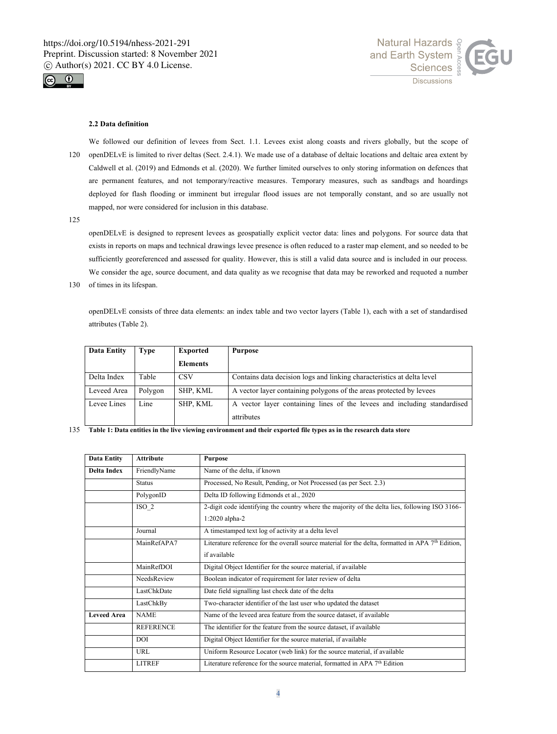



### **2.2 Data definition**

We followed our definition of levees from Sect. 1.1. Levees exist along coasts and rivers globally, but the scope of 120 openDELvE is limited to river deltas (Sect. 2.4.1). We made use of a database of deltaic locations and deltaic area extent by Caldwell et al. (2019) and Edmonds et al. (2020). We further limited ourselves to only storing information on defences that are permanent features, and not temporary/reactive measures. Temporary measures, such as sandbags and hoardings deployed for flash flooding or imminent but irregular flood issues are not temporally constant, and so are usually not mapped, nor were considered for inclusion in this database.

125

openDELvE is designed to represent levees as geospatially explicit vector data: lines and polygons. For source data that exists in reports on maps and technical drawings levee presence is often reduced to a raster map element, and so needed to be sufficiently georeferenced and assessed for quality. However, this is still a valid data source and is included in our process. We consider the age, source document, and data quality as we recognise that data may be reworked and requoted a number

130 of times in its lifespan.

openDELvE consists of three data elements: an index table and two vector layers (Table 1), each with a set of standardised attributes (Table 2).

| <b>Data Entity</b> | Type    | <b>Exported</b> | Purpose                                                                  |
|--------------------|---------|-----------------|--------------------------------------------------------------------------|
|                    |         | Elements        |                                                                          |
| Delta Index        | Table   | <b>CSV</b>      | Contains data decision logs and linking characteristics at delta level   |
| Leveed Area        | Polygon | SHP, KML        | A vector layer containing polygons of the areas protected by levees      |
| Levee Lines        | Line    | SHP, KML        | A vector layer containing lines of the levees and including standardised |
|                    |         |                 | attributes                                                               |

135 **Table 1: Data entities in the live viewing environment and their exported file types as in the research data store**

| <b>Data Entity</b> | <b>Attribute</b> | <b>Purpose</b>                                                                                      |
|--------------------|------------------|-----------------------------------------------------------------------------------------------------|
| Delta Index        | FriendlyName     | Name of the delta, if known                                                                         |
|                    | <b>Status</b>    | Processed, No Result, Pending, or Not Processed (as per Sect. 2.3)                                  |
|                    | PolygonID        | Delta ID following Edmonds et al., 2020                                                             |
|                    | ISO 2            | 2-digit code identifying the country where the majority of the delta lies, following ISO 3166-      |
|                    |                  | 1:2020 alpha-2                                                                                      |
|                    | Journal          | A timestamped text log of activity at a delta level                                                 |
|                    | MainRefAPA7      | Literature reference for the overall source material for the delta, formatted in APA $7th$ Edition, |
|                    |                  | if available                                                                                        |
|                    | MainRefDOI       | Digital Object Identifier for the source material, if available                                     |
|                    | NeedsReview      | Boolean indicator of requirement for later review of delta                                          |
|                    | LastChkDate      | Date field signalling last check date of the delta                                                  |
|                    | LastChkBy        | Two-character identifier of the last user who updated the dataset                                   |
| <b>Leveed Area</b> | <b>NAME</b>      | Name of the leveed area feature from the source dataset, if available                               |
|                    | <b>REFERENCE</b> | The identifier for the feature from the source dataset, if available                                |
|                    | DOI.             | Digital Object Identifier for the source material, if available                                     |
|                    | URL              | Uniform Resource Locator (web link) for the source material, if available                           |
|                    | <b>LITREF</b>    | Literature reference for the source material, formatted in APA $7th$ Edition                        |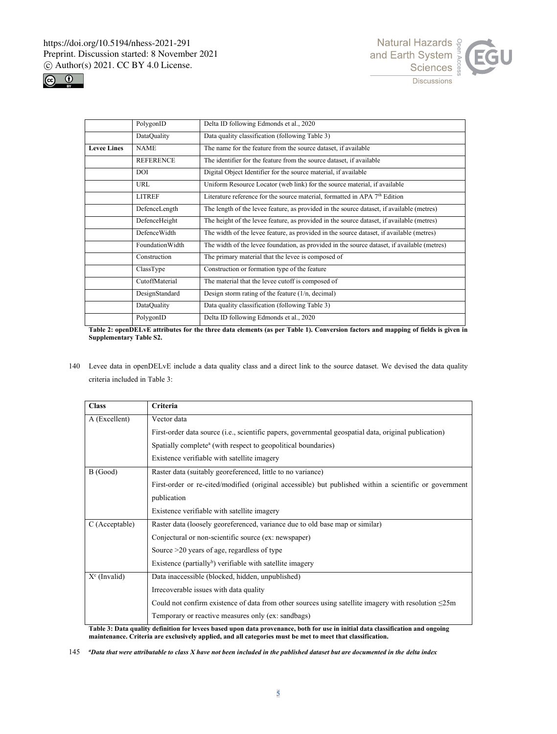



|                    | PolygonID        | Delta ID following Edmonds et al., 2020                                                     |
|--------------------|------------------|---------------------------------------------------------------------------------------------|
|                    | DataQuality      | Data quality classification (following Table 3)                                             |
| <b>Levee Lines</b> | <b>NAME</b>      | The name for the feature from the source dataset, if available                              |
|                    | <b>REFERENCE</b> | The identifier for the feature from the source dataset, if available                        |
|                    | DOI              | Digital Object Identifier for the source material, if available                             |
|                    | URL              | Uniform Resource Locator (web link) for the source material, if available                   |
|                    | <b>LITREF</b>    | Literature reference for the source material, formatted in APA 7 <sup>th</sup> Edition      |
|                    | DefenceLength    | The length of the levee feature, as provided in the source dataset, if available (metres)   |
|                    | DefenceHeight    | The height of the levee feature, as provided in the source dataset, if available (metres)   |
|                    | DefenceWidth     | The width of the levee feature, as provided in the source dataset, if available (metres)    |
|                    | FoundationWidth  | The width of the levee foundation, as provided in the source dataset, if available (metres) |
|                    | Construction     | The primary material that the levee is composed of                                          |
|                    | ClassType        | Construction or formation type of the feature                                               |
|                    | CutoffMaterial   | The material that the levee cutoff is composed of                                           |
|                    | DesignStandard   | Design storm rating of the feature $(1/n, decimal)$                                         |
|                    | DataQuality      | Data quality classification (following Table 3)                                             |
|                    | PolygonID        | Delta ID following Edmonds et al., 2020                                                     |

**Table 2: openDELvE attributes for the three data elements (as per Table 1). Conversion factors and mapping of fields is given in Supplementary Table S2.**

140 Levee data in openDELvE include a data quality class and a direct link to the source dataset. We devised the data quality criteria included in Table 3:

| <b>Class</b>    | <b>Criteria</b>                                                                                            |  |  |  |
|-----------------|------------------------------------------------------------------------------------------------------------|--|--|--|
| A (Excellent)   | Vector data                                                                                                |  |  |  |
|                 | First-order data source (i.e., scientific papers, governmental geospatial data, original publication)      |  |  |  |
|                 | Spatially complete <sup>a</sup> (with respect to geopolitical boundaries)                                  |  |  |  |
|                 | Existence verifiable with satellite imagery                                                                |  |  |  |
| B(Good)         | Raster data (suitably georeferenced, little to no variance)                                                |  |  |  |
|                 | First-order or re-cited/modified (original accessible) but published within a scientific or government     |  |  |  |
|                 | publication                                                                                                |  |  |  |
|                 | Existence verifiable with satellite imagery                                                                |  |  |  |
| C (Acceptable)  | Raster data (loosely georeferenced, variance due to old base map or similar)                               |  |  |  |
|                 | Conjectural or non-scientific source (ex: newspaper)                                                       |  |  |  |
|                 | Source >20 years of age, regardless of type                                                                |  |  |  |
|                 | Existence (partially <sup>b</sup> ) verifiable with satellite imagery                                      |  |  |  |
| $X^c$ (Invalid) | Data inaccessible (blocked, hidden, unpublished)                                                           |  |  |  |
|                 | Irrecoverable issues with data quality                                                                     |  |  |  |
|                 | Could not confirm existence of data from other sources using satellite imagery with resolution $\leq 25$ m |  |  |  |
|                 | Temporary or reactive measures only (ex: sandbags)                                                         |  |  |  |

**Table 3: Data quality definition for levees based upon data provenance, both for use in initial data classification and ongoing maintenance. Criteria are exclusively applied, and all categories must be met to meet that classification.** 

145 *<sup>a</sup>Data that were attributable to class X have not been included in the published dataset but are documented in the delta index*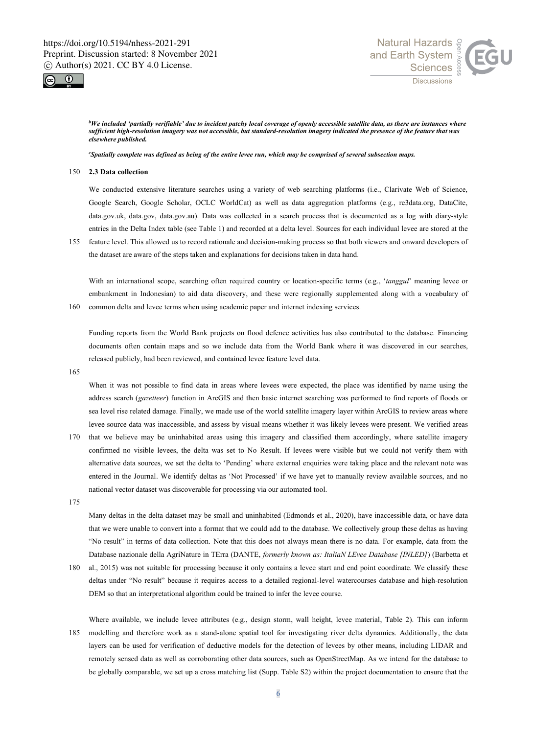



*<sup>b</sup>We included 'partially verifiable' due to incident patchy local coverage of openly accessible satellite data, as there are instances where sufficient high-resolution imagery was not accessible, but standard-resolution imagery indicated the presence of the feature that was elsewhere published.*

*<sup>c</sup>Spatially complete was defined as being of the entire levee run, which may be comprised of several subsection maps.* 

# 150 **2.3 Data collection**

We conducted extensive literature searches using a variety of web searching platforms (i.e., Clarivate Web of Science, Google Search, Google Scholar, OCLC WorldCat) as well as data aggregation platforms (e.g., re3data.org, DataCite, data.gov.uk, data.gov, data.gov.au). Data was collected in a search process that is documented as a log with diary-style entries in the Delta Index table (see Table 1) and recorded at a delta level. Sources for each individual levee are stored at the

155 feature level. This allowed us to record rationale and decision-making process so that both viewers and onward developers of the dataset are aware of the steps taken and explanations for decisions taken in data hand.

With an international scope, searching often required country or location-specific terms (e.g., '*tanggul*' meaning levee or embankment in Indonesian) to aid data discovery, and these were regionally supplemented along with a vocabulary of 160 common delta and levee terms when using academic paper and internet indexing services.

Funding reports from the World Bank projects on flood defence activities has also contributed to the database. Financing documents often contain maps and so we include data from the World Bank where it was discovered in our searches, released publicly, had been reviewed, and contained levee feature level data.

165

When it was not possible to find data in areas where levees were expected, the place was identified by name using the address search (*gazetteer*) function in ArcGIS and then basic internet searching was performed to find reports of floods or sea level rise related damage. Finally, we made use of the world satellite imagery layer within ArcGIS to review areas where levee source data was inaccessible, and assess by visual means whether it was likely levees were present. We verified areas

- 170 that we believe may be uninhabited areas using this imagery and classified them accordingly, where satellite imagery confirmed no visible levees, the delta was set to No Result. If levees were visible but we could not verify them with alternative data sources, we set the delta to 'Pending' where external enquiries were taking place and the relevant note was entered in the Journal. We identify deltas as 'Not Processed' if we have yet to manually review available sources, and no national vector dataset was discoverable for processing via our automated tool.
- 175

Many deltas in the delta dataset may be small and uninhabited (Edmonds et al., 2020), have inaccessible data, or have data that we were unable to convert into a format that we could add to the database. We collectively group these deltas as having "No result" in terms of data collection. Note that this does not always mean there is no data*.* For example, data from the Database nazionale della AgriNature in TErra (DANTE, *formerly known as: ItaliaN LEvee Database [INLED]*) (Barbetta et

- 180 al., 2015) was not suitable for processing because it only contains a levee start and end point coordinate. We classify these deltas under "No result" because it requires access to a detailed regional-level watercourses database and high-resolution DEM so that an interpretational algorithm could be trained to infer the levee course.
- Where available, we include levee attributes (e.g., design storm, wall height, levee material, Table 2). This can inform 185 modelling and therefore work as a stand-alone spatial tool for investigating river delta dynamics. Additionally, the data layers can be used for verification of deductive models for the detection of levees by other means, including LIDAR and remotely sensed data as well as corroborating other data sources, such as OpenStreetMap. As we intend for the database to be globally comparable, we set up a cross matching list (Supp. Table S2) within the project documentation to ensure that the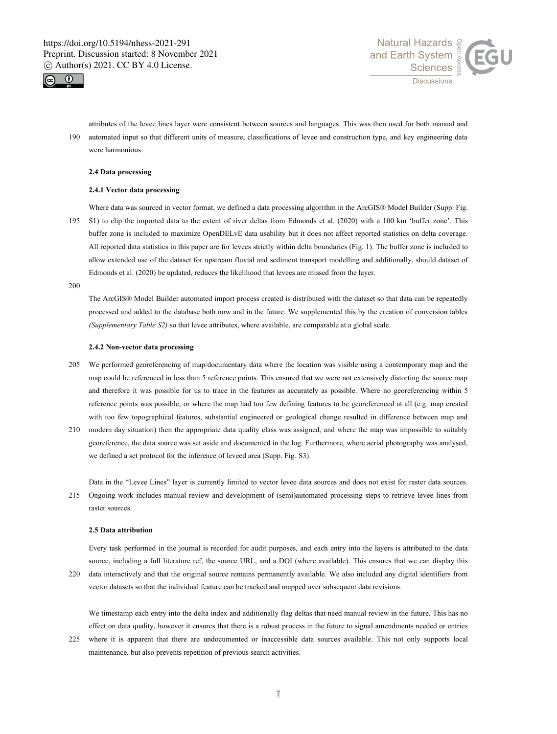



attributes of the levee lines layer were consistent between sources and languages. This was then used for both manual and 190 automated input so that different units of measure, classifications of levee and construction type, and key engineering data were harmonious.

# **2.4 Data processing**

### **2.4.1 Vector data processing**

Where data was sourced in vector format, we defined a data processing algorithm in the ArcGIS® Model Builder (Supp. Fig. 195 S1) to clip the imported data to the extent of river deltas from Edmonds et al. (2020) with a 100 km 'buffer zone'. This buffer zone is included to maximize OpenDELvE data usability but it does not affect reported statistics on delta coverage. All reported data statistics in this paper are for levees strictly within delta boundaries (Fig. 1). The buffer zone is included to allow extended use of the dataset for upstream fluvial and sediment transport modelling and additionally, should dataset of Edmonds et al. (2020) be updated, reduces the likelihood that levees are missed from the layer.

200

The ArcGIS® Model Builder automated import process created is distributed with the dataset so that data can be repeatedly processed and added to the database both now and in the future. We supplemented this by the creation of conversion tables *(Supplementary Table S2)* so that levee attributes, where available, are comparable at a global scale.

### **2.4.2 Non-vector data processing**

- 205 We performed georeferencing of map/documentary data where the location was visible using a contemporary map and the map could be referenced in less than 5 reference points. This ensured that we were not extensively distorting the source map and therefore it was possible for us to trace in the features as accurately as possible. Where no georeferencing within 5 reference points was possible, or where the map had too few defining features to be georeferenced at all (e.g. map created with too few topographical features, substantial engineered or geological change resulted in difference between map and
- 210 modern day situation) then the appropriate data quality class was assigned, and where the map was impossible to suitably georeference, the data source was set aside and documented in the log. Furthermore, where aerial photography was analysed, we defined a set protocol for the inference of leveed area (Supp. Fig. S3).

Data in the "Levee Lines" layer is currently limited to vector levee data sources and does not exist for raster data sources.

215 Ongoing work includes manual review and development of (semi)automated processing steps to retrieve levee lines from raster sources.

#### **2.5 Data attribution**

Every task performed in the journal is recorded for audit purposes, and each entry into the layers is attributed to the data source, including a full literature ref, the source URL, and a DOI (where available). This ensures that we can display this 220 data interactively and that the original source remains permanently available. We also included any digital identifiers from

vector datasets so that the individual feature can be tracked and mapped over subsequent data revisions.

We timestamp each entry into the delta index and additionally flag deltas that need manual review in the future. This has no effect on data quality, however it ensures that there is a robust process in the future to signal amendments needed or entries

225 where it is apparent that there are undocumented or inaccessible data sources available. This not only supports local maintenance, but also prevents repetition of previous search activities.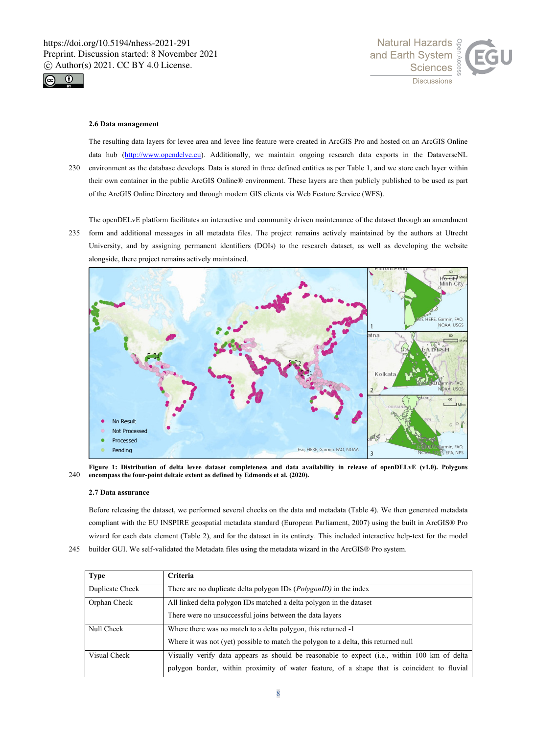



### **2.6 Data management**

The resulting data layers for levee area and levee line feature were created in ArcGIS Pro and hosted on an ArcGIS Online data hub (http://www.opendelve.eu). Additionally, we maintain ongoing research data exports in the DataverseNL 230 environment as the database develops. Data is stored in three defined entities as per Table 1, and we store each layer within their own container in the public ArcGIS Online® environment. These layers are then publicly published to be used as part of the ArcGIS Online Directory and through modern GIS clients via Web Feature Service (WFS).

The openDELvE platform facilitates an interactive and community driven maintenance of the dataset through an amendment

235 form and additional messages in all metadata files. The project remains actively maintained by the authors at Utrecht University, and by assigning permanent identifiers (DOIs) to the research dataset, as well as developing the website alongside, there project remains actively maintained.



**Figure 1: Distribution of delta levee dataset completeness and data availability in release of openDELvE (v1.0). Polygons**  240 **encompass the four-point deltaic extent as defined by Edmonds et al. (2020).**

### **2.7 Data assurance**

Before releasing the dataset, we performed several checks on the data and metadata (Table 4). We then generated metadata compliant with the EU INSPIRE geospatial metadata standard (European Parliament, 2007) using the built in ArcGIS® Pro wizard for each data element (Table 2), and for the dataset in its entirety. This included interactive help-text for the model

245 builder GUI. We self-validated the Metadata files using the metadata wizard in the ArcGIS® Pro system.

| <b>Type</b>     | <b>Criteria</b>                                                                              |  |  |  |
|-----------------|----------------------------------------------------------------------------------------------|--|--|--|
| Duplicate Check | There are no duplicate delta polygon IDs ( <i>PolygonID</i> ) in the index                   |  |  |  |
| Orphan Check    | All linked delta polygon IDs matched a delta polygon in the dataset                          |  |  |  |
|                 | There were no unsuccessful joins between the data layers                                     |  |  |  |
| Null Check      | Where there was no match to a delta polygon, this returned -1                                |  |  |  |
|                 | Where it was not (yet) possible to match the polygon to a delta, this returned null          |  |  |  |
| Visual Check    | Visually verify data appears as should be reasonable to expect (i.e., within 100 km of delta |  |  |  |
|                 | polygon border, within proximity of water feature, of a shape that is coincident to fluvial  |  |  |  |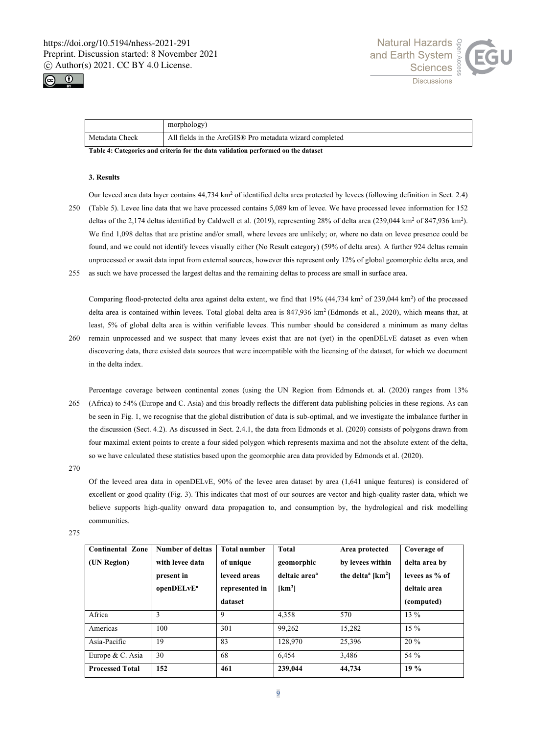



|                                                                                                                                                                                                                                | morphology)                                             |  |  |
|--------------------------------------------------------------------------------------------------------------------------------------------------------------------------------------------------------------------------------|---------------------------------------------------------|--|--|
| Metadata Check                                                                                                                                                                                                                 | All fields in the ArcGIS® Pro metadata wizard completed |  |  |
| . The bit of a Chapter should be contracted from the chapter of the deal of the contracted and the contracted of the contracted and the contracted of the contracted and the contracted of the contracted of the contracted of |                                                         |  |  |

**Table 4: Categories and criteria for the data validation performed on the dataset**

# **3. Results**

Our leveed area data layer contains 44,734 km<sup>2</sup> of identified delta area protected by levees (following definition in Sect. 2.4) 250 (Table 5). Levee line data that we have processed contains 5,089 km of levee. We have processed levee information for 152 deltas of the 2,174 deltas identified by Caldwell et al. (2019), representing 28% of delta area (239,044 km<sup>2</sup> of 847,936 km<sup>2</sup>). We find 1,098 deltas that are pristine and/or small, where levees are unlikely; or, where no data on levee presence could be found, and we could not identify levees visually either (No Result category) (59% of delta area). A further 924 deltas remain unprocessed or await data input from external sources, however this represent only 12% of global geomorphic delta area, and

255 as such we have processed the largest deltas and the remaining deltas to process are small in surface area.

Comparing flood-protected delta area against delta extent, we find that  $19\%$  (44,734 km<sup>2</sup> of 239,044 km<sup>2</sup>) of the processed delta area is contained within levees. Total global delta area is 847,936 km<sup>2</sup> (Edmonds et al., 2020), which means that, at least, 5% of global delta area is within verifiable levees. This number should be considered a minimum as many deltas

260 remain unprocessed and we suspect that many levees exist that are not (yet) in the openDELvE dataset as even when discovering data, there existed data sources that were incompatible with the licensing of the dataset, for which we document in the delta index.

Percentage coverage between continental zones (using the UN Region from Edmonds et. al. (2020) ranges from 13% 265 (Africa) to 54% (Europe and C. Asia) and this broadly reflects the different data publishing policies in these regions. As can be seen in Fig. 1, we recognise that the global distribution of data is sub-optimal, and we investigate the imbalance further in the discussion (Sect. 4.2). As discussed in Sect. 2.4.1, the data from Edmonds et al. (2020) consists of polygons drawn from four maximal extent points to create a four sided polygon which represents maxima and not the absolute extent of the delta, so we have calculated these statistics based upon the geomorphic area data provided by Edmonds et al. (2020).

270

Of the leveed area data in openDELvE, 90% of the levee area dataset by area (1,641 unique features) is considered of excellent or good quality (Fig. 3). This indicates that most of our sources are vector and high-quality raster data, which we believe supports high-quality onward data propagation to, and consumption by, the hydrological and risk modelling communities.

275

| <b>Continental Zone</b><br>(UN Region) | Number of deltas<br>with levee data<br>present in<br>openDELvE <sup>a</sup> | <b>Total number</b><br>of unique<br>leveed areas<br>represented in | <b>Total</b><br>geomorphic<br>deltaic area <sup>a</sup><br>[km <sup>2</sup> ] | Area protected<br>by levees within<br>the delta <sup>a</sup> [ $km^2$ ] | Coverage of<br>delta area by<br>levees as % of<br>deltaic area |
|----------------------------------------|-----------------------------------------------------------------------------|--------------------------------------------------------------------|-------------------------------------------------------------------------------|-------------------------------------------------------------------------|----------------------------------------------------------------|
|                                        |                                                                             |                                                                    |                                                                               |                                                                         |                                                                |
|                                        |                                                                             | dataset                                                            |                                                                               |                                                                         | (computed)                                                     |
| Africa                                 | 3                                                                           | 9                                                                  | 4.358                                                                         | 570                                                                     | $13\%$                                                         |
| Americas                               | 100                                                                         | 301                                                                | 99,262                                                                        | 15,282                                                                  | $15\%$                                                         |
| Asia-Pacific                           | 19                                                                          | 83                                                                 | 128,970                                                                       | 25,396                                                                  | $20\%$                                                         |
| Europe & C. Asia                       | 30                                                                          | 68                                                                 | 6.454                                                                         | 3.486                                                                   | 54 %                                                           |
| <b>Processed Total</b>                 | 152                                                                         | 461                                                                | 239,044                                                                       | 44,734                                                                  | 19%                                                            |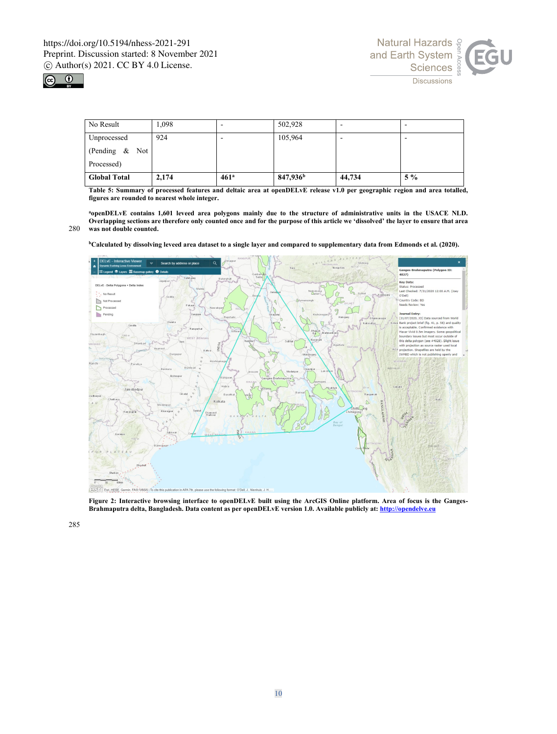



| No Result           | 1,098 |                  | 502,928              |        |       |
|---------------------|-------|------------------|----------------------|--------|-------|
| Unprocessed         | 924   |                  | 105,964              | -      |       |
| (Pending $\&$ Not   |       |                  |                      |        |       |
| Processed)          |       |                  |                      |        |       |
| <b>Global Total</b> | 2,174 | 461 <sup>a</sup> | 847,936 <sup>b</sup> | 44,734 | $5\%$ |

**Table 5: Summary of processed features and deltaic area at openDELvE release v1.0 per geographic region and area totalled, figures are rounded to nearest whole integer.**

**<sup>a</sup>openDELvE contains 1,601 leveed area polygons mainly due to the structure of administrative units in the USACE NLD. Overlapping sections are therefore only counted once and for the purpose of this article we 'dissolved' the layer to ensure that area**  280 **was not double counted.**

**<sup>b</sup>Calculated by dissolving leveed area dataset to a single layer and compared to supplementary data from Edmonds et al. (2020).**



**Figure 2: Interactive browsing interface to openDELvE built using the ArcGIS Online platform. Area of focus is the Ganges-Brahmaputra delta, Bangladesh. Data content as per openDELvE version 1.0. Available publicly at: http://opendelve.eu**

285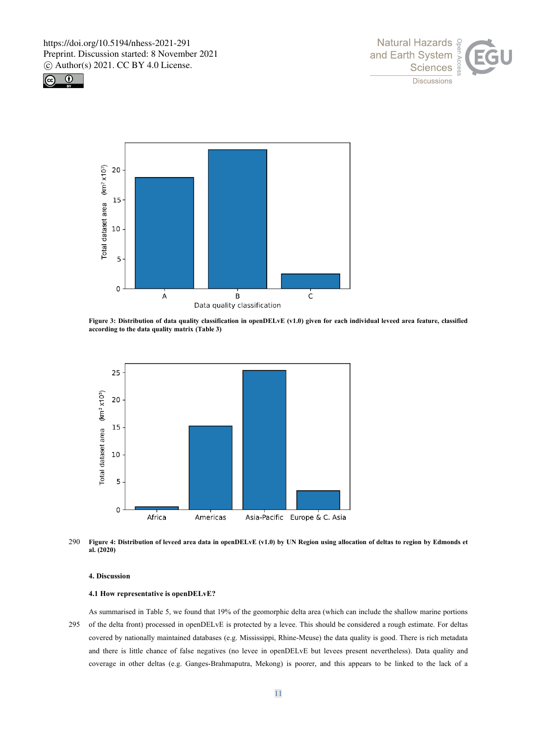





**Figure 3: Distribution of data quality classification in openDELvE (v1.0) given for each individual leveed area feature, classified according to the data quality matrix (Table 3)**



290 **Figure 4: Distribution of leveed area data in openDELvE (v1.0) by UN Region using allocation of deltas to region by Edmonds et al. (2020)**

### **4. Discussion**

### **4.1 How representative is openDELvE?**

As summarised in Table 5, we found that 19% of the geomorphic delta area (which can include the shallow marine portions 295 of the delta front) processed in openDELvE is protected by a levee. This should be considered a rough estimate. For deltas covered by nationally maintained databases (e.g. Mississippi, Rhine-Meuse) the data quality is good. There is rich metadata and there is little chance of false negatives (no levee in openDELvE but levees present nevertheless). Data quality and coverage in other deltas (e.g. Ganges-Brahmaputra, Mekong) is poorer, and this appears to be linked to the lack of a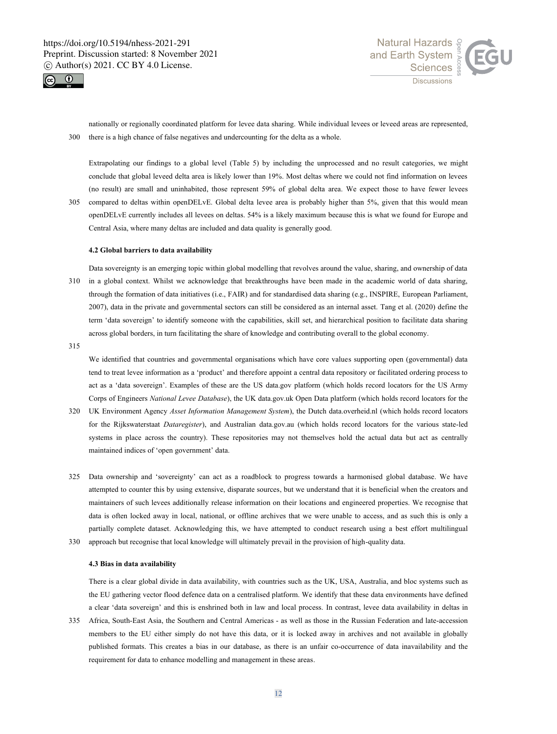



nationally or regionally coordinated platform for levee data sharing. While individual levees or leveed areas are represented, 300 there is a high chance of false negatives and undercounting for the delta as a whole.

Extrapolating our findings to a global level (Table 5) by including the unprocessed and no result categories, we might conclude that global leveed delta area is likely lower than 19%. Most deltas where we could not find information on levees (no result) are small and uninhabited, those represent 59% of global delta area. We expect those to have fewer levees

305 compared to deltas within openDELvE. Global delta levee area is probably higher than 5%, given that this would mean openDELvE currently includes all levees on deltas. 54% is a likely maximum because this is what we found for Europe and Central Asia, where many deltas are included and data quality is generally good.

### **4.2 Global barriers to data availability**

Data sovereignty is an emerging topic within global modelling that revolves around the value, sharing, and ownership of data 310 in a global context. Whilst we acknowledge that breakthroughs have been made in the academic world of data sharing, through the formation of data initiatives (i.e., FAIR) and for standardised data sharing (e.g., INSPIRE, European Parliament, 2007), data in the private and governmental sectors can still be considered as an internal asset. Tang et al. (2020) define the term 'data sovereign' to identify someone with the capabilities, skill set, and hierarchical position to facilitate data sharing across global borders, in turn facilitating the share of knowledge and contributing overall to the global economy.

315

We identified that countries and governmental organisations which have core values supporting open (governmental) data tend to treat levee information as a 'product' and therefore appoint a central data repository or facilitated ordering process to act as a 'data sovereign'. Examples of these are the US data.gov platform (which holds record locators for the US Army Corps of Engineers *National Levee Database*), the UK data.gov.uk Open Data platform (which holds record locators for the

- 320 UK Environment Agency *Asset Information Management System*), the Dutch data.overheid.nl (which holds record locators for the Rijkswaterstaat *Dataregister*), and Australian data.gov.au (which holds record locators for the various state-led systems in place across the country). These repositories may not themselves hold the actual data but act as centrally maintained indices of 'open government' data.
- 325 Data ownership and 'sovereignty' can act as a roadblock to progress towards a harmonised global database. We have attempted to counter this by using extensive, disparate sources, but we understand that it is beneficial when the creators and maintainers of such levees additionally release information on their locations and engineered properties. We recognise that data is often locked away in local, national, or offline archives that we were unable to access, and as such this is only a partially complete dataset. Acknowledging this, we have attempted to conduct research using a best effort multilingual 330 approach but recognise that local knowledge will ultimately prevail in the provision of high-quality data.

### **4.3 Bias in data availability**

There is a clear global divide in data availability, with countries such as the UK, USA, Australia, and bloc systems such as the EU gathering vector flood defence data on a centralised platform. We identify that these data environments have defined a clear 'data sovereign' and this is enshrined both in law and local process. In contrast, levee data availability in deltas in

335 Africa, South-East Asia, the Southern and Central Americas - as well as those in the Russian Federation and late-accession members to the EU either simply do not have this data, or it is locked away in archives and not available in globally published formats. This creates a bias in our database, as there is an unfair co-occurrence of data inavailability and the requirement for data to enhance modelling and management in these areas.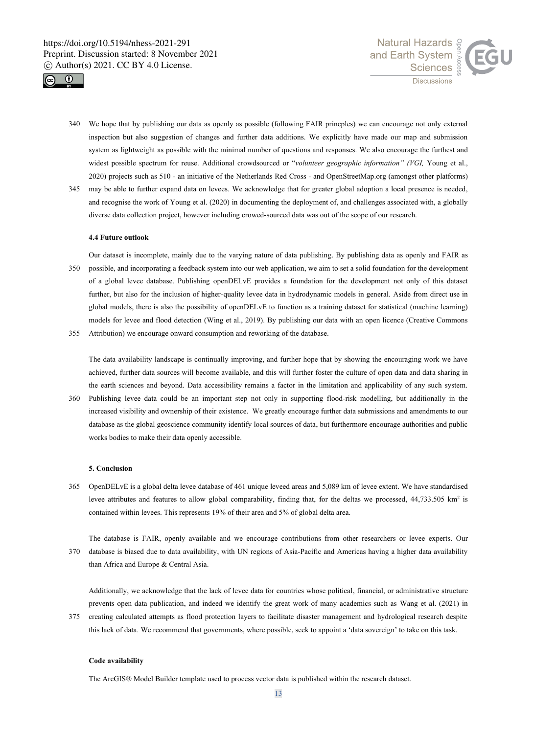



- 340 We hope that by publishing our data as openly as possible (following FAIR princples) we can encourage not only external inspection but also suggestion of changes and further data additions. We explicitly have made our map and submission system as lightweight as possible with the minimal number of questions and responses. We also encourage the furthest and widest possible spectrum for reuse. Additional crowdsourced or "*volunteer geographic information" (VGI,* Young et al., 2020) projects such as 510 - an initiative of the Netherlands Red Cross - and OpenStreetMap.org (amongst other platforms)
- 345 may be able to further expand data on levees. We acknowledge that for greater global adoption a local presence is needed, and recognise the work of Young et al. (2020) in documenting the deployment of, and challenges associated with, a globally diverse data collection project, however including crowed-sourced data was out of the scope of our research.

# **4.4 Future outlook**

Our dataset is incomplete, mainly due to the varying nature of data publishing. By publishing data as openly and FAIR as 350 possible, and incorporating a feedback system into our web application, we aim to set a solid foundation for the development of a global levee database. Publishing openDELvE provides a foundation for the development not only of this dataset further, but also for the inclusion of higher-quality levee data in hydrodynamic models in general. Aside from direct use in global models, there is also the possibility of openDELvE to function as a training dataset for statistical (machine learning) models for levee and flood detection (Wing et al., 2019). By publishing our data with an open licence (Creative Commons

355 Attribution) we encourage onward consumption and reworking of the database.

The data availability landscape is continually improving, and further hope that by showing the encouraging work we have achieved, further data sources will become available, and this will further foster the culture of open data and data sharing in the earth sciences and beyond. Data accessibility remains a factor in the limitation and applicability of any such system.

360 Publishing levee data could be an important step not only in supporting flood-risk modelling, but additionally in the increased visibility and ownership of their existence. We greatly encourage further data submissions and amendments to our database as the global geoscience community identify local sources of data, but furthermore encourage authorities and public works bodies to make their data openly accessible.

### **5. Conclusion**

- 365 OpenDELvE is a global delta levee database of 461 unique leveed areas and 5,089 km of levee extent. We have standardised levee attributes and features to allow global comparability, finding that, for the deltas we processed, 44,733.505 km<sup>2</sup> is contained within levees. This represents 19% of their area and 5% of global delta area.
- The database is FAIR, openly available and we encourage contributions from other researchers or levee experts. Our 370 database is biased due to data availability, with UN regions of Asia-Pacific and Americas having a higher data availability than Africa and Europe & Central Asia.

Additionally, we acknowledge that the lack of levee data for countries whose political, financial, or administrative structure prevents open data publication, and indeed we identify the great work of many academics such as Wang et al. (2021) in

375 creating calculated attempts as flood protection layers to facilitate disaster management and hydrological research despite this lack of data. We recommend that governments, where possible, seek to appoint a 'data sovereign' to take on this task.

### **Code availability**

The ArcGIS® Model Builder template used to process vector data is published within the research dataset.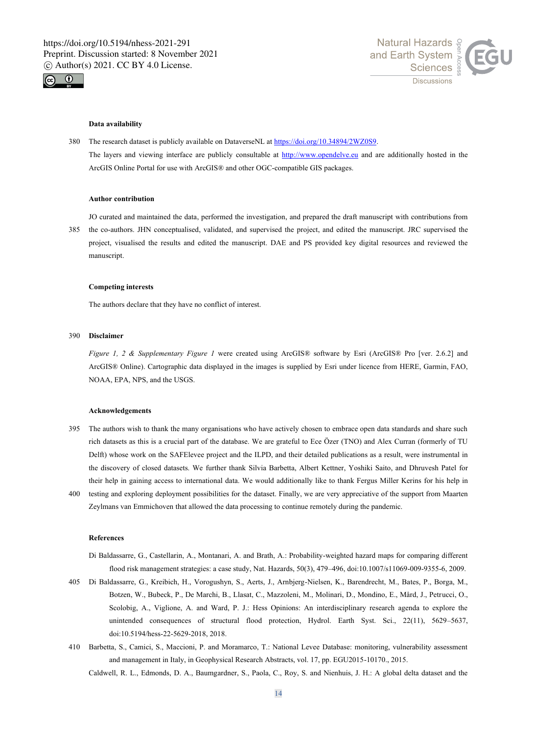



### **Data availability**

380 The research dataset is publicly available on DataverseNL at https://doi.org/10.34894/2WZ0S9. The layers and viewing interface are publicly consultable at http://www.opendelve.eu and are additionally hosted in the ArcGIS Online Portal for use with ArcGIS® and other OGC-compatible GIS packages.

### **Author contribution**

JO curated and maintained the data, performed the investigation, and prepared the draft manuscript with contributions from 385 the co-authors. JHN conceptualised, validated, and supervised the project, and edited the manuscript. JRC supervised the project, visualised the results and edited the manuscript. DAE and PS provided key digital resources and reviewed the manuscript.

# **Competing interests**

The authors declare that they have no conflict of interest.

### 390 **Disclaimer**

*Figure 1, 2 & Supplementary Figure 1* were created using ArcGIS® software by Esri (ArcGIS® Pro [ver. 2.6.2] and ArcGIS® Online). Cartographic data displayed in the images is supplied by Esri under licence from HERE, Garmin, FAO, NOAA, EPA, NPS, and the USGS.

# **Acknowledgements**

- 395 The authors wish to thank the many organisations who have actively chosen to embrace open data standards and share such rich datasets as this is a crucial part of the database. We are grateful to Ece Özer (TNO) and Alex Curran (formerly of TU Delft) whose work on the SAFElevee project and the ILPD, and their detailed publications as a result, were instrumental in the discovery of closed datasets. We further thank Silvia Barbetta, Albert Kettner, Yoshiki Saito, and Dhruvesh Patel for their help in gaining access to international data. We would additionally like to thank Fergus Miller Kerins for his help in
- 400 testing and exploring deployment possibilities for the dataset. Finally, we are very appreciative of the support from Maarten Zeylmans van Emmichoven that allowed the data processing to continue remotely during the pandemic.

## **References**

- Di Baldassarre, G., Castellarin, A., Montanari, A. and Brath, A.: Probability-weighted hazard maps for comparing different flood risk management strategies: a case study, Nat. Hazards, 50(3), 479–496, doi:10.1007/s11069-009-9355-6, 2009.
- 405 Di Baldassarre, G., Kreibich, H., Vorogushyn, S., Aerts, J., Arnbjerg-Nielsen, K., Barendrecht, M., Bates, P., Borga, M., Botzen, W., Bubeck, P., De Marchi, B., Llasat, C., Mazzoleni, M., Molinari, D., Mondino, E., Mård, J., Petrucci, O., Scolobig, A., Viglione, A. and Ward, P. J.: Hess Opinions: An interdisciplinary research agenda to explore the unintended consequences of structural flood protection, Hydrol. Earth Syst. Sci., 22(11), 5629–5637, doi:10.5194/hess-22-5629-2018, 2018.
- 410 Barbetta, S., Camici, S., Maccioni, P. and Moramarco, T.: National Levee Database: monitoring, vulnerability assessment and management in Italy, in Geophysical Research Abstracts, vol. 17, pp. EGU2015-10170., 2015.

Caldwell, R. L., Edmonds, D. A., Baumgardner, S., Paola, C., Roy, S. and Nienhuis, J. H.: A global delta dataset and the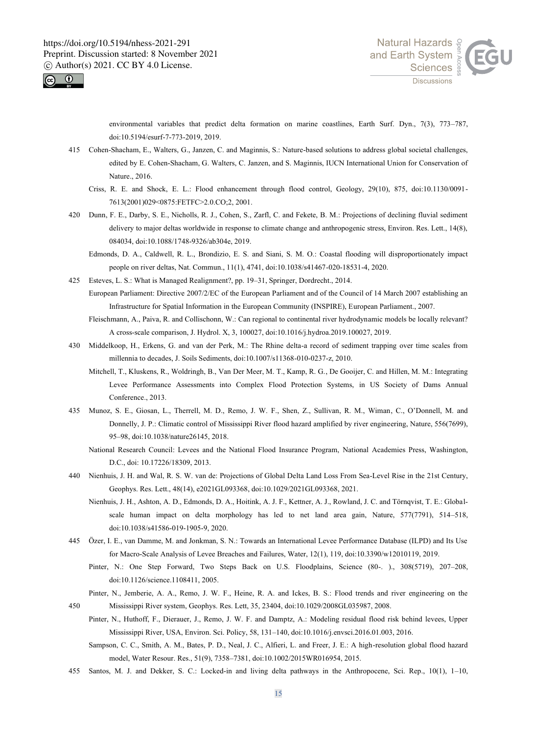



environmental variables that predict delta formation on marine coastlines, Earth Surf. Dyn., 7(3), 773–787, doi:10.5194/esurf-7-773-2019, 2019.

- 415 Cohen-Shacham, E., Walters, G., Janzen, C. and Maginnis, S.: Nature-based solutions to address global societal challenges, edited by E. Cohen-Shacham, G. Walters, C. Janzen, and S. Maginnis, IUCN International Union for Conservation of Nature., 2016.
	- Criss, R. E. and Shock, E. L.: Flood enhancement through flood control, Geology, 29(10), 875, doi:10.1130/0091- 7613(2001)029<0875:FETFC>2.0.CO;2, 2001.
- 420 Dunn, F. E., Darby, S. E., Nicholls, R. J., Cohen, S., Zarfl, C. and Fekete, B. M.: Projections of declining fluvial sediment delivery to major deltas worldwide in response to climate change and anthropogenic stress, Environ. Res. Lett., 14(8), 084034, doi:10.1088/1748-9326/ab304e, 2019.
	- Edmonds, D. A., Caldwell, R. L., Brondizio, E. S. and Siani, S. M. O.: Coastal flooding will disproportionately impact people on river deltas, Nat. Commun., 11(1), 4741, doi:10.1038/s41467-020-18531-4, 2020.
- 425 Esteves, L. S.: What is Managed Realignment?, pp. 19–31, Springer, Dordrecht., 2014. European Parliament: Directive 2007/2/EC of the European Parliament and of the Council of 14 March 2007 establishing an Infrastructure for Spatial Information in the European Community (INSPIRE), European Parliament., 2007.
	- Fleischmann, A., Paiva, R. and Collischonn, W.: Can regional to continental river hydrodynamic models be locally relevant? A cross-scale comparison, J. Hydrol. X, 3, 100027, doi:10.1016/j.hydroa.2019.100027, 2019.
- 430 Middelkoop, H., Erkens, G. and van der Perk, M.: The Rhine delta-a record of sediment trapping over time scales from millennia to decades, J. Soils Sediments, doi:10.1007/s11368-010-0237-z, 2010.
	- Mitchell, T., Kluskens, R., Woldringh, B., Van Der Meer, M. T., Kamp, R. G., De Gooijer, C. and Hillen, M. M.: Integrating Levee Performance Assessments into Complex Flood Protection Systems, in US Society of Dams Annual Conference., 2013.
- 435 Munoz, S. E., Giosan, L., Therrell, M. D., Remo, J. W. F., Shen, Z., Sullivan, R. M., Wiman, C., O'Donnell, M. and Donnelly, J. P.: Climatic control of Mississippi River flood hazard amplified by river engineering, Nature, 556(7699), 95–98, doi:10.1038/nature26145, 2018.
	- National Research Council: Levees and the National Flood Insurance Program, National Academies Press, Washington, D.C., doi: 10.17226/18309, 2013.
- 440 Nienhuis, J. H. and Wal, R. S. W. van de: Projections of Global Delta Land Loss From Sea-Level Rise in the 21st Century, Geophys. Res. Lett., 48(14), e2021GL093368, doi:10.1029/2021GL093368, 2021.
	- Nienhuis, J. H., Ashton, A. D., Edmonds, D. A., Hoitink, A. J. F., Kettner, A. J., Rowland, J. C. and Törnqvist, T. E.: Globalscale human impact on delta morphology has led to net land area gain, Nature, 577(7791), 514–518, doi:10.1038/s41586-019-1905-9, 2020.
- 445 Özer, I. E., van Damme, M. and Jonkman, S. N.: Towards an International Levee Performance Database (ILPD) and Its Use for Macro-Scale Analysis of Levee Breaches and Failures, Water, 12(1), 119, doi:10.3390/w12010119, 2019.
	- Pinter, N.: One Step Forward, Two Steps Back on U.S. Floodplains, Science (80-. )., 308(5719), 207-208, doi:10.1126/science.1108411, 2005.
- Pinter, N., Jemberie, A. A., Remo, J. W. F., Heine, R. A. and Ickes, B. S.: Flood trends and river engineering on the 450 Mississippi River system, Geophys. Res. Lett, 35, 23404, doi:10.1029/2008GL035987, 2008.
	- Pinter, N., Huthoff, F., Dierauer, J., Remo, J. W. F. and Damptz, A.: Modeling residual flood risk behind levees, Upper Mississippi River, USA, Environ. Sci. Policy, 58, 131–140, doi:10.1016/j.envsci.2016.01.003, 2016.
		- Sampson, C. C., Smith, A. M., Bates, P. D., Neal, J. C., Alfieri, L. and Freer, J. E.: A high-resolution global flood hazard model, Water Resour. Res., 51(9), 7358–7381, doi:10.1002/2015WR016954, 2015.
- 455 Santos, M. J. and Dekker, S. C.: Locked-in and living delta pathways in the Anthropocene, Sci. Rep., 10(1), 1–10,